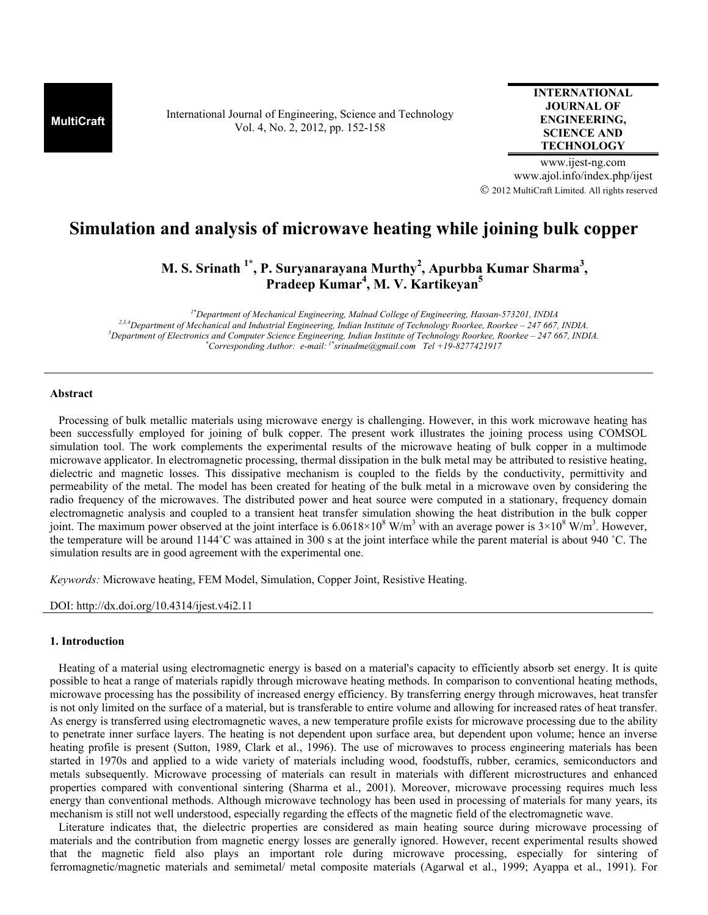**MultiCraft** International Journal of Engineering, Science and Technology Vol. 4, No. 2, 2012, pp. 152-158

**INTERNATIONAL JOURNAL OF ENGINEERING, SCIENCE AND TECHNOLOGY**

www.ijest-ng.com www.ajol.info/index.php/ijest 2012 MultiCraft Limited. All rights reserved

# **Simulation and analysis of microwave heating while joining bulk copper**

**M. S. Srinath 1\*, P. Suryanarayana Murthy<sup>2</sup> , Apurbba Kumar Sharma<sup>3</sup> , Pradeep Kumar<sup>4</sup> , M. V. Kartikeyan<sup>5</sup>**

*1\*Department of Mechanical Engineering, Malnad College of Engineering, Hassan-573201, INDIA 2,3,4Department of Mechanical and Industrial Engineering, Indian Institute of Technology Roorkee, Roorkee – 247 667, INDIA. <sup>5</sup>Department of Electronics and Computer Science Engineering, Indian Institute of Technology Roorkee, Roorkee – 247 667, INDIA. \*Corresponding Author: e-mail: 1\*srinadme@gmail.com Tel +19-8277421917*

# **Abstract**

 Processing of bulk metallic materials using microwave energy is challenging. However, in this work microwave heating has been successfully employed for joining of bulk copper. The present work illustrates the joining process using COMSOL simulation tool. The work complements the experimental results of the microwave heating of bulk copper in a multimode microwave applicator. In electromagnetic processing, thermal dissipation in the bulk metal may be attributed to resistive heating, dielectric and magnetic losses. This dissipative mechanism is coupled to the fields by the conductivity, permittivity and permeability of the metal. The model has been created for heating of the bulk metal in a microwave oven by considering the radio frequency of the microwaves. The distributed power and heat source were computed in a stationary, frequency domain electromagnetic analysis and coupled to a transient heat transfer simulation showing the heat distribution in the bulk copper joint. The maximum power observed at the joint interface is  $6.0618 \times 10^8$  W/m<sup>3</sup> with an average power is  $3 \times 10^8$  W/m<sup>3</sup>. However, the temperature will be around 1144˚C was attained in 300 s at the joint interface while the parent material is about 940 ˚C. The simulation results are in good agreement with the experimental one.

*Keywords:* Microwave heating, FEM Model, Simulation, Copper Joint, Resistive Heating.

DOI: http://dx.doi.org/10.4314/ijest.v4i2.11

# **1. Introduction**

 Heating of a material using electromagnetic energy is based on a material's capacity to efficiently absorb set energy. It is quite possible to heat a range of materials rapidly through microwave heating methods. In comparison to conventional heating methods, microwave processing has the possibility of increased energy efficiency. By transferring energy through microwaves, heat transfer is not only limited on the surface of a material, but is transferable to entire volume and allowing for increased rates of heat transfer. As energy is transferred using electromagnetic waves, a new temperature profile exists for microwave processing due to the ability to penetrate inner surface layers. The heating is not dependent upon surface area, but dependent upon volume; hence an inverse heating profile is present (Sutton, 1989, Clark et al., 1996). The use of microwaves to process engineering materials has been started in 1970s and applied to a wide variety of materials including wood, foodstuffs, rubber, ceramics, semiconductors and metals subsequently. Microwave processing of materials can result in materials with different microstructures and enhanced properties compared with conventional sintering (Sharma et al., 2001). Moreover, microwave processing requires much less energy than conventional methods. Although microwave technology has been used in processing of materials for many years, its mechanism is still not well understood, especially regarding the effects of the magnetic field of the electromagnetic wave.

 Literature indicates that, the dielectric properties are considered as main heating source during microwave processing of materials and the contribution from magnetic energy losses are generally ignored. However, recent experimental results showed that the magnetic field also plays an important role during microwave processing, especially for sintering of ferromagnetic/magnetic materials and semimetal/ metal composite materials (Agarwal et al., 1999; Ayappa et al., 1991). For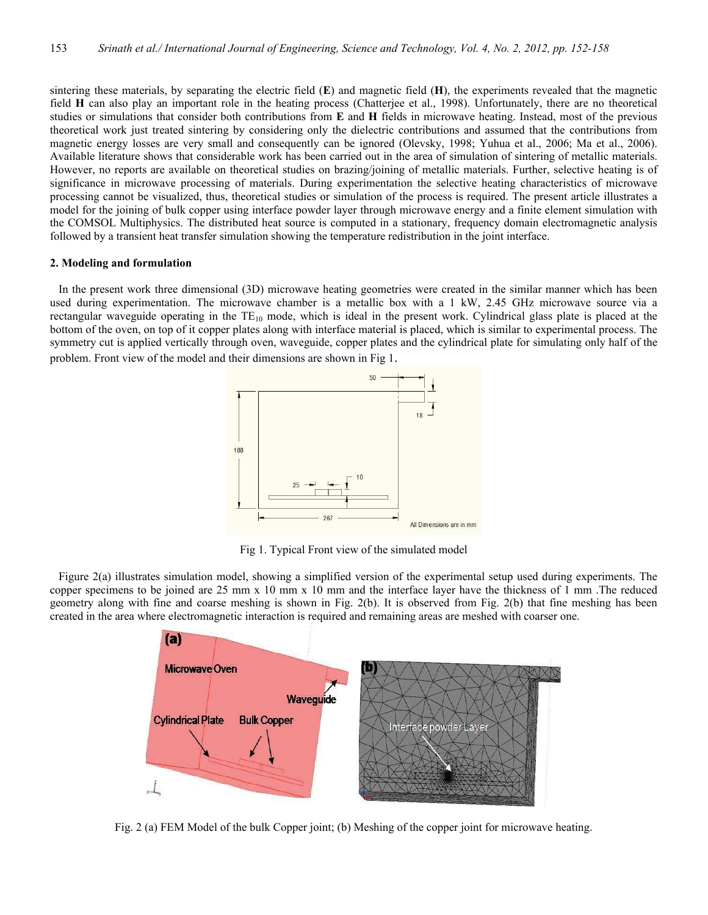sintering these materials, by separating the electric field (**E**) and magnetic field (**H**), the experiments revealed that the magnetic field **H** can also play an important role in the heating process (Chatterjee et al., 1998). Unfortunately, there are no theoretical studies or simulations that consider both contributions from **E** and **H** fields in microwave heating. Instead, most of the previous theoretical work just treated sintering by considering only the dielectric contributions and assumed that the contributions from magnetic energy losses are very small and consequently can be ignored (Olevsky, 1998; Yuhua et al., 2006; Ma et al., 2006). Available literature shows that considerable work has been carried out in the area of simulation of sintering of metallic materials. However, no reports are available on theoretical studies on brazing/joining of metallic materials. Further, selective heating is of significance in microwave processing of materials. During experimentation the selective heating characteristics of microwave processing cannot be visualized, thus, theoretical studies or simulation of the process is required. The present article illustrates a model for the joining of bulk copper using interface powder layer through microwave energy and a finite element simulation with the COMSOL Multiphysics. The distributed heat source is computed in a stationary, frequency domain electromagnetic analysis followed by a transient heat transfer simulation showing the temperature redistribution in the joint interface.

## **2. Modeling and formulation**

 In the present work three dimensional (3D) microwave heating geometries were created in the similar manner which has been used during experimentation. The microwave chamber is a metallic box with a 1 kW, 2.45 GHz microwave source via a rectangular waveguide operating in the  $TE_{10}$  mode, which is ideal in the present work. Cylindrical glass plate is placed at the bottom of the oven, on top of it copper plates along with interface material is placed, which is similar to experimental process. The symmetry cut is applied vertically through oven, waveguide, copper plates and the cylindrical plate for simulating only half of the problem. Front view of the model and their dimensions are shown in Fig 1.



Fig 1. Typical Front view of the simulated model

 Figure 2(a) illustrates simulation model, showing a simplified version of the experimental setup used during experiments. The copper specimens to be joined are 25 mm x 10 mm x 10 mm and the interface layer have the thickness of 1 mm .The reduced geometry along with fine and coarse meshing is shown in Fig. 2(b). It is observed from Fig. 2(b) that fine meshing has been created in the area where electromagnetic interaction is required and remaining areas are meshed with coarser one.



Fig. 2 (a) FEM Model of the bulk Copper joint; (b) Meshing of the copper joint for microwave heating.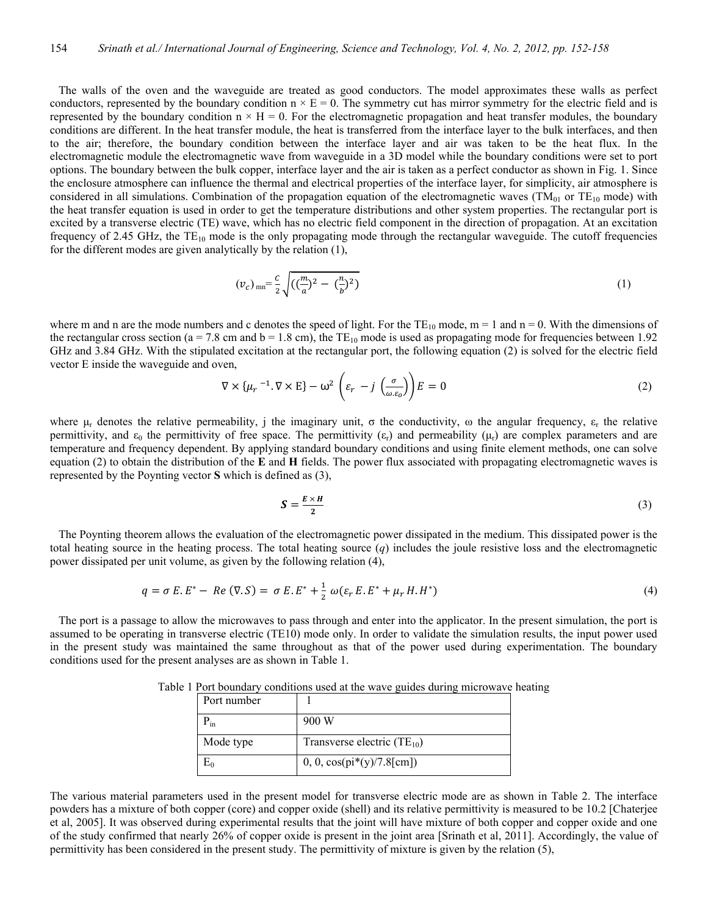The walls of the oven and the waveguide are treated as good conductors. The model approximates these walls as perfect conductors, represented by the boundary condition  $n \times E = 0$ . The symmetry cut has mirror symmetry for the electric field and is represented by the boundary condition  $n \times H = 0$ . For the electromagnetic propagation and heat transfer modules, the boundary conditions are different. In the heat transfer module, the heat is transferred from the interface layer to the bulk interfaces, and then to the air; therefore, the boundary condition between the interface layer and air was taken to be the heat flux. In the electromagnetic module the electromagnetic wave from waveguide in a 3D model while the boundary conditions were set to port options. The boundary between the bulk copper, interface layer and the air is taken as a perfect conductor as shown in Fig. 1. Since the enclosure atmosphere can influence the thermal and electrical properties of the interface layer, for simplicity, air atmosphere is considered in all simulations. Combination of the propagation equation of the electromagnetic waves ( $TM<sub>01</sub>$  or  $TE<sub>10</sub>$  mode) with the heat transfer equation is used in order to get the temperature distributions and other system properties. The rectangular port is excited by a transverse electric (TE) wave, which has no electric field component in the direction of propagation. At an excitation frequency of 2.45 GHz, the  $TE_{10}$  mode is the only propagating mode through the rectangular waveguide. The cutoff frequencies for the different modes are given analytically by the relation (1),

$$
(v_c)_{mn} = \frac{c}{2} \sqrt{((\frac{m}{a})^2 - (\frac{n}{b})^2)}
$$
 (1)

where m and n are the mode numbers and c denotes the speed of light. For the  $TE_{10}$  mode,  $m = 1$  and  $n = 0$ . With the dimensions of the rectangular cross section ( $a = 7.8$  cm and  $b = 1.8$  cm), the TE<sub>10</sub> mode is used as propagating mode for frequencies between 1.92 GHz and 3.84 GHz. With the stipulated excitation at the rectangular port, the following equation (2) is solved for the electric field vector E inside the waveguide and oven,

$$
\nabla \times \{\mu_r^{-1}.\nabla \times \mathbf{E}\} - \omega^2 \left(\varepsilon_r - j \left(\frac{\sigma}{\omega \varepsilon_0}\right)\right) \mathbf{E} = 0 \tag{2}
$$

where  $\mu_r$  denotes the relative permeability, j the imaginary unit,  $\sigma$  the conductivity,  $\omega$  the angular frequency,  $\varepsilon_r$  the relative permittivity, and  $\varepsilon_0$  the permittivity of free space. The permittivity  $(\varepsilon_r)$  and permeability  $(\mu_r)$  are complex parameters and are temperature and frequency dependent. By applying standard boundary conditions and using finite element methods, one can solve equation (2) to obtain the distribution of the **E** and **H** fields. The power flux associated with propagating electromagnetic waves is represented by the Poynting vector **S** which is defined as (3),

$$
S = \frac{E \times H}{2} \tag{3}
$$

 The Poynting theorem allows the evaluation of the electromagnetic power dissipated in the medium. This dissipated power is the total heating source in the heating process. The total heating source  $(q)$  includes the joule resistive loss and the electromagnetic power dissipated per unit volume, as given by the following relation (4),

$$
q = \sigma E.E^* - Re (\nabla . S) = \sigma E.E^* + \frac{1}{2} \omega (\varepsilon_r E.E^* + \mu_r H.H^*)
$$
\n(4)

 The port is a passage to allow the microwaves to pass through and enter into the applicator. In the present simulation, the port is assumed to be operating in transverse electric (TE10) mode only. In order to validate the simulation results, the input power used in the present study was maintained the same throughout as that of the power used during experimentation. The boundary conditions used for the present analyses are as shown in Table 1.

| Port number |                                      |  |
|-------------|--------------------------------------|--|
| $P_{in}$    | 900 W                                |  |
| Mode type   | Transverse electric $(TE_{10})$      |  |
|             | $0, 0, \cos(\pi*(y)/7.8[\text{cm}])$ |  |

Table 1 Port boundary conditions used at the wave guides during microwave heating

The various material parameters used in the present model for transverse electric mode are as shown in Table 2. The interface powders has a mixture of both copper (core) and copper oxide (shell) and its relative permittivity is measured to be 10.2 [Chaterjee et al, 2005]. It was observed during experimental results that the joint will have mixture of both copper and copper oxide and one of the study confirmed that nearly 26% of copper oxide is present in the joint area [Srinath et al, 2011]. Accordingly, the value of permittivity has been considered in the present study. The permittivity of mixture is given by the relation (5),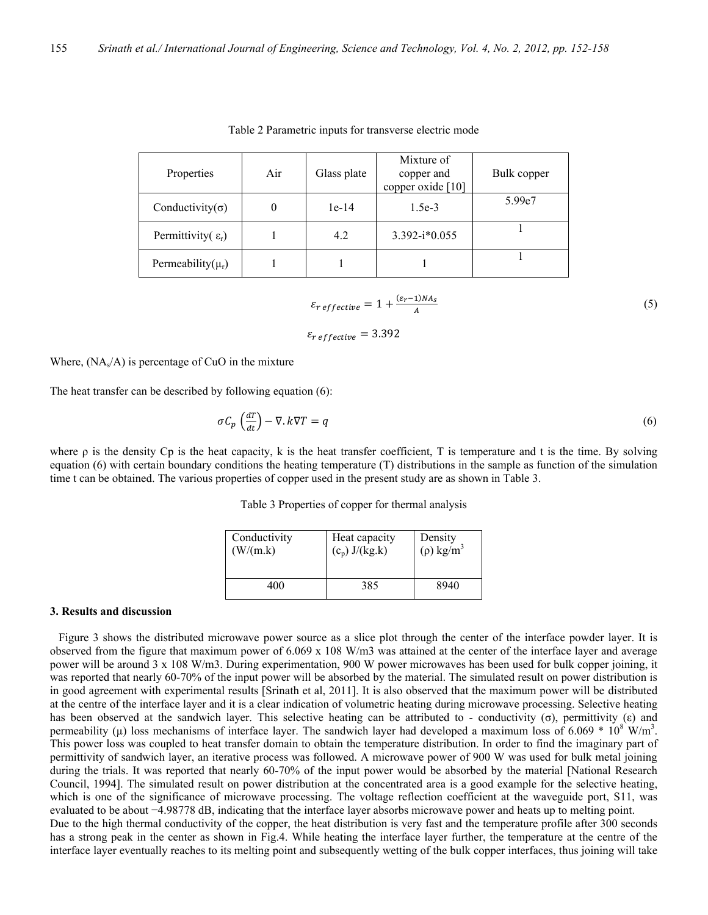| Properties                        | Air | Glass plate | Mixture of<br>copper and<br>copper oxide [10] | Bulk copper |
|-----------------------------------|-----|-------------|-----------------------------------------------|-------------|
| Conductivity( $\sigma$ )          |     | $1e-14$     | $1.5e-3$                                      | 5.99e7      |
| Permittivity( $\varepsilon_{r}$ ) |     | 4.2         | $3.392 - i*0.055$                             |             |
| Permeability( $\mu_r$ )           |     |             |                                               |             |

|  | Table 2 Parametric inputs for transverse electric mode |
|--|--------------------------------------------------------|
|--|--------------------------------------------------------|

$$
\varepsilon_{reffective} = 1 + \frac{(\varepsilon_r - 1)NA_s}{A} \tag{5}
$$

$$
\varepsilon_{\text{reffective}} = 3.392
$$

Where,  $(NA<sub>s</sub>/A)$  is percentage of CuO in the mixture

The heat transfer can be described by following equation (6):

$$
\sigma C_p \left(\frac{dT}{dt}\right) - \nabla \cdot k \nabla T = q \tag{6}
$$

where  $\rho$  is the density Cp is the heat capacity, k is the heat transfer coefficient, T is temperature and t is the time. By solving equation (6) with certain boundary conditions the heating temperature (T) distributions in the sample as function of the simulation time t can be obtained. The various properties of copper used in the present study are as shown in Table 3.

Table 3 Properties of copper for thermal analysis

| Conductivity | Heat capacity    | Density                    |
|--------------|------------------|----------------------------|
| (W/(m.k))    | $(c_p) J/(kg.k)$ | $(\rho)$ kg/m <sup>3</sup> |
| 400          | 385              | 8940                       |

# **3. Results and discussion**

 Figure 3 shows the distributed microwave power source as a slice plot through the center of the interface powder layer. It is observed from the figure that maximum power of  $6.069 \times 108$  W/m3 was attained at the center of the interface layer and average power will be around 3 x 108 W/m3. During experimentation, 900 W power microwaves has been used for bulk copper joining, it was reported that nearly 60-70% of the input power will be absorbed by the material. The simulated result on power distribution is in good agreement with experimental results [Srinath et al, 2011]. It is also observed that the maximum power will be distributed at the centre of the interface layer and it is a clear indication of volumetric heating during microwave processing. Selective heating has been observed at the sandwich layer. This selective heating can be attributed to - conductivity (σ), permittivity (ε) and permeability ( $\mu$ ) loss mechanisms of interface layer. The sandwich layer had developed a maximum loss of 6.069  $*$  10<sup>8</sup> W/m<sup>3</sup>. This power loss was coupled to heat transfer domain to obtain the temperature distribution. In order to find the imaginary part of permittivity of sandwich layer, an iterative process was followed. A microwave power of 900 W was used for bulk metal joining during the trials. It was reported that nearly 60-70% of the input power would be absorbed by the material [National Research Council, 1994]. The simulated result on power distribution at the concentrated area is a good example for the selective heating, which is one of the significance of microwave processing. The voltage reflection coefficient at the waveguide port, S11, was evaluated to be about −4.98778 dB, indicating that the interface layer absorbs microwave power and heats up to melting point. Due to the high thermal conductivity of the copper, the heat distribution is very fast and the temperature profile after 300 seconds has a strong peak in the center as shown in Fig.4. While heating the interface layer further, the temperature at the centre of the interface layer eventually reaches to its melting point and subsequently wetting of the bulk copper interfaces, thus joining will take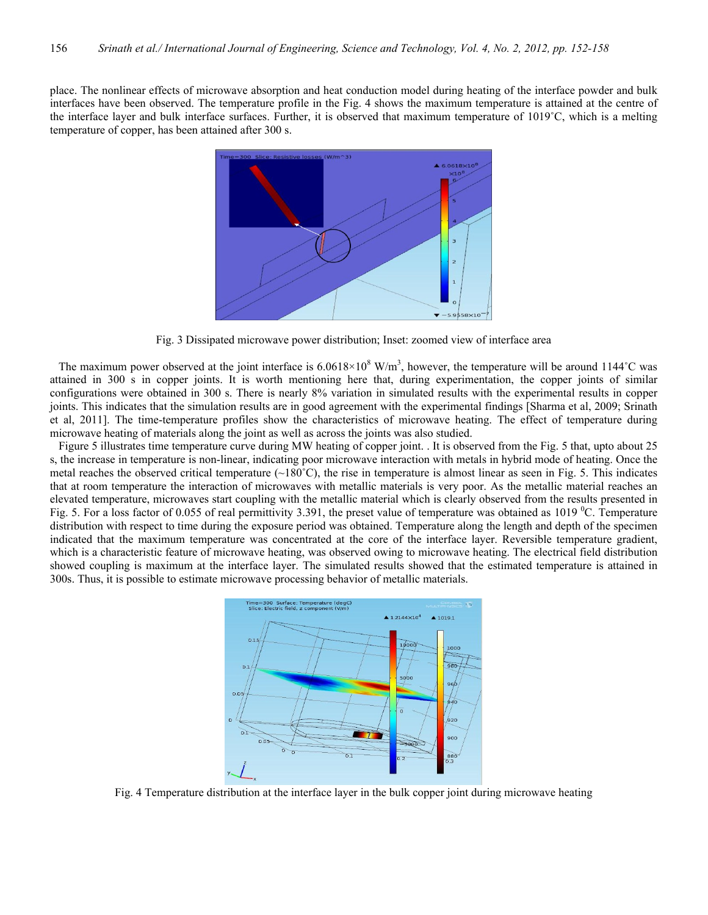place. The nonlinear effects of microwave absorption and heat conduction model during heating of the interface powder and bulk interfaces have been observed. The temperature profile in the Fig. 4 shows the maximum temperature is attained at the centre of the interface layer and bulk interface surfaces. Further, it is observed that maximum temperature of 1019˚C, which is a melting temperature of copper, has been attained after 300 s.



Fig. 3 Dissipated microwave power distribution; Inset: zoomed view of interface area

The maximum power observed at the joint interface is  $6.0618 \times 10^8$  W/m<sup>3</sup>, however, the temperature will be around 1144°C was attained in 300 s in copper joints. It is worth mentioning here that, during experimentation, the copper joints of similar configurations were obtained in 300 s. There is nearly 8% variation in simulated results with the experimental results in copper joints. This indicates that the simulation results are in good agreement with the experimental findings [Sharma et al, 2009; Srinath et al, 2011]. The time-temperature profiles show the characteristics of microwave heating. The effect of temperature during microwave heating of materials along the joint as well as across the joints was also studied.

Figure 5 illustrates time temperature curve during MW heating of copper joint. . It is observed from the Fig. 5 that, upto about 25 s, the increase in temperature is non-linear, indicating poor microwave interaction with metals in hybrid mode of heating. Once the metal reaches the observed critical temperature  $\sim 180^{\circ}$ C), the rise in temperature is almost linear as seen in Fig. 5. This indicates that at room temperature the interaction of microwaves with metallic materials is very poor. As the metallic material reaches an elevated temperature, microwaves start coupling with the metallic material which is clearly observed from the results presented in Fig. 5. For a loss factor of 0.055 of real permittivity 3.391, the preset value of temperature was obtained as  $1019 \degree C$ . Temperature distribution with respect to time during the exposure period was obtained. Temperature along the length and depth of the specimen indicated that the maximum temperature was concentrated at the core of the interface layer. Reversible temperature gradient, which is a characteristic feature of microwave heating, was observed owing to microwave heating. The electrical field distribution showed coupling is maximum at the interface layer. The simulated results showed that the estimated temperature is attained in 300s. Thus, it is possible to estimate microwave processing behavior of metallic materials.



Fig. 4 Temperature distribution at the interface layer in the bulk copper joint during microwave heating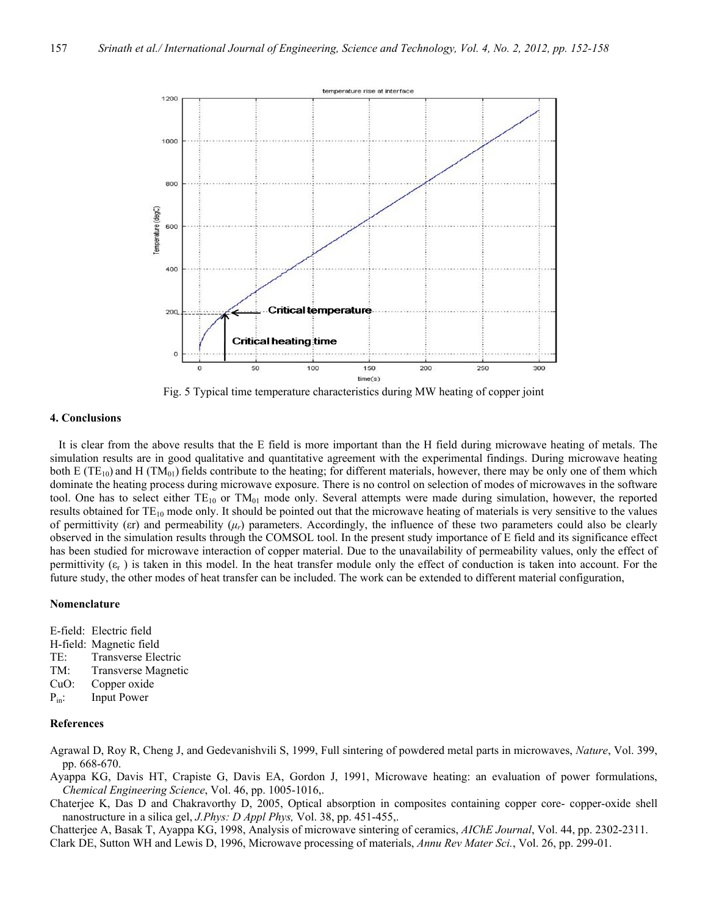

Fig. 5 Typical time temperature characteristics during MW heating of copper joint

## **4. Conclusions**

 It is clear from the above results that the E field is more important than the H field during microwave heating of metals. The simulation results are in good qualitative and quantitative agreement with the experimental findings. During microwave heating both E (TE<sub>10</sub>) and H (TM<sub>01</sub>) fields contribute to the heating; for different materials, however, there may be only one of them which dominate the heating process during microwave exposure. There is no control on selection of modes of microwaves in the software tool. One has to select either  $TE_{10}$  or  $TM_{01}$  mode only. Several attempts were made during simulation, however, the reported results obtained for TE<sub>10</sub> mode only. It should be pointed out that the microwave heating of materials is very sensitive to the values of permittivity ( $\epsilon$ *r*) and permeability ( $\mu$ *<sub>r</sub>*) parameters. Accordingly, the influence of these two parameters could also be clearly observed in the simulation results through the COMSOL tool. In the present study importance of E field and its significance effect has been studied for microwave interaction of copper material. Due to the unavailability of permeability values, only the effect of permittivity  $(\varepsilon_r)$  is taken in this model. In the heat transfer module only the effect of conduction is taken into account. For the future study, the other modes of heat transfer can be included. The work can be extended to different material configuration,

## **Nomenclature**

E-field: Electric field

- H-field: Magnetic field
- TE: Transverse Electric
- TM: Transverse Magnetic
- CuO: Copper oxide
- P<sub>in</sub>: Input Power

#### **References**

Agrawal D, Roy R, Cheng J, and Gedevanishvili S, 1999, Full sintering of powdered metal parts in microwaves, *Nature*, Vol. 399, pp. 668-670.

- Ayappa KG, Davis HT, Crapiste G, Davis EA, Gordon J, 1991, Microwave heating: an evaluation of power formulations, *Chemical Engineering Science*, Vol. 46, pp. 1005-1016,.
- Chaterjee K, Das D and Chakravorthy D, 2005, Optical absorption in composites containing copper core- copper-oxide shell nanostructure in a silica gel, *J.Phys: D Appl Phys,* Vol. 38, pp. 451-455,.

Chatterjee A, Basak T, Ayappa KG, 1998, Analysis of microwave sintering of ceramics, *AIChE Journal*, Vol. 44, pp. 2302-2311.

Clark DE, Sutton WH and Lewis D, 1996, Microwave processing of materials, *Annu Rev Mater Sci.*, Vol. 26, pp. 299-01.